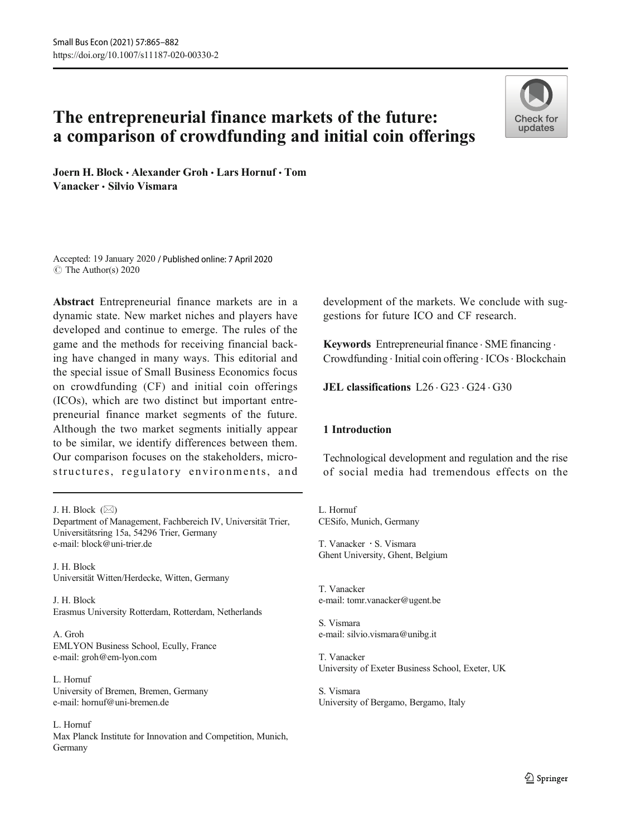# The entrepreneurial finance markets of the future: a comparison of crowdfunding and initial coin offerings



Joern H. Block · Alexander Groh · Lars Hornuf · Tom Vanacker & Silvio Vismara

Accepted: 19 January 2020 / Published online: 7 April 2020  $\odot$  The Author(s) 2020

Abstract Entrepreneurial finance markets are in a dynamic state. New market niches and players have developed and continue to emerge. The rules of the game and the methods for receiving financial backing have changed in many ways. This editorial and the special issue of Small Business Economics focus on crowdfunding (CF) and initial coin offerings (ICOs), which are two distinct but important entrepreneurial finance market segments of the future. Although the two market segments initially appear to be similar, we identify differences between them. Our comparison focuses on the stakeholders, microstructures, regulatory environments, and

J. H. Block  $(\boxtimes)$ 

Department of Management, Fachbereich IV, Universität Trier, Universitätsring 15a, 54296 Trier, Germany e-mail: block@uni-trier.de

J. H. Block Universität Witten/Herdecke, Witten, Germany

J. H. Block Erasmus University Rotterdam, Rotterdam, Netherlands

A. Groh EMLYON Business School, Ecully, France e-mail: groh@em-lyon.com

L. Hornuf University of Bremen, Bremen, Germany e-mail: hornuf@uni-bremen.de

L. Hornuf Max Planck Institute for Innovation and Competition, Munich, Germany

development of the markets. We conclude with suggestions for future ICO and CF research.

Keywords Entrepreneurial finance · SME financing · Crowdfunding · Initial coin offering · ICOs · Blockchain

**JEL classifications**  $L26 \cdot G23 \cdot G24 \cdot G30$ 

# 1 Introduction

Technological development and regulation and the rise of social media had tremendous effects on the

L. Hornuf CESifo, Munich, Germany

T. Vanacker : S. Vismara Ghent University, Ghent, Belgium

T. Vanacker e-mail: tomr.vanacker@ugent.be

S. Vismara e-mail: silvio.vismara@unibg.it

T. Vanacker University of Exeter Business School, Exeter, UK

S. Vismara University of Bergamo, Bergamo, Italy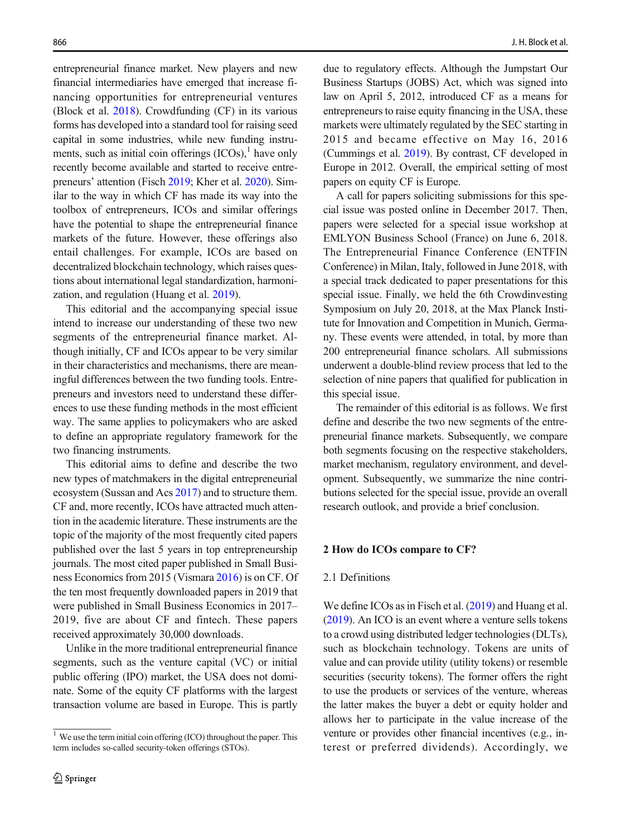entrepreneurial finance market. New players and new financial intermediaries have emerged that increase financing opportunities for entrepreneurial ventures (Block et al. [2018](#page-16-0)). Crowdfunding (CF) in its various forms has developed into a standard tool for raising seed capital in some industries, while new funding instruments, such as initial coin offerings  $(ICOs)$ , have only recently become available and started to receive entrepreneurs' attention (Fisch [2019;](#page-16-0) Kher et al. [2020](#page-17-0)). Similar to the way in which CF has made its way into the toolbox of entrepreneurs, ICOs and similar offerings have the potential to shape the entrepreneurial finance markets of the future. However, these offerings also entail challenges. For example, ICOs are based on decentralized blockchain technology, which raises questions about international legal standardization, harmonization, and regulation (Huang et al. [2019\)](#page-17-0).

This editorial and the accompanying special issue intend to increase our understanding of these two new segments of the entrepreneurial finance market. Although initially, CF and ICOs appear to be very similar in their characteristics and mechanisms, there are meaningful differences between the two funding tools. Entrepreneurs and investors need to understand these differences to use these funding methods in the most efficient way. The same applies to policymakers who are asked to define an appropriate regulatory framework for the two financing instruments.

This editorial aims to define and describe the two new types of matchmakers in the digital entrepreneurial ecosystem (Sussan and Acs [2017\)](#page-17-0) and to structure them. CF and, more recently, ICOs have attracted much attention in the academic literature. These instruments are the topic of the majority of the most frequently cited papers published over the last 5 years in top entrepreneurship journals. The most cited paper published in Small Business Economics from 2015 (Vismara [2016](#page-17-0)) is on CF. Of the ten most frequently downloaded papers in 2019 that were published in Small Business Economics in 2017– 2019, five are about CF and fintech. These papers received approximately 30,000 downloads.

Unlike in the more traditional entrepreneurial finance segments, such as the venture capital (VC) or initial public offering (IPO) market, the USA does not dominate. Some of the equity CF platforms with the largest transaction volume are based in Europe. This is partly

due to regulatory effects. Although the Jumpstart Our Business Startups (JOBS) Act, which was signed into law on April 5, 2012, introduced CF as a means for entrepreneurs to raise equity financing in the USA, these markets were ultimately regulated by the SEC starting in 2015 and became effective on May 16, 2016 (Cummings et al. [2019\)](#page-16-0). By contrast, CF developed in Europe in 2012. Overall, the empirical setting of most papers on equity CF is Europe.

A call for papers soliciting submissions for this special issue was posted online in December 2017. Then, papers were selected for a special issue workshop at EMLYON Business School (France) on June 6, 2018. The Entrepreneurial Finance Conference (ENTFIN Conference) in Milan, Italy, followed in June 2018, with a special track dedicated to paper presentations for this special issue. Finally, we held the 6th Crowdinvesting Symposium on July 20, 2018, at the Max Planck Institute for Innovation and Competition in Munich, Germany. These events were attended, in total, by more than 200 entrepreneurial finance scholars. All submissions underwent a double-blind review process that led to the selection of nine papers that qualified for publication in this special issue.

The remainder of this editorial is as follows. We first define and describe the two new segments of the entrepreneurial finance markets. Subsequently, we compare both segments focusing on the respective stakeholders, market mechanism, regulatory environment, and development. Subsequently, we summarize the nine contributions selected for the special issue, provide an overall research outlook, and provide a brief conclusion.

#### 2 How do ICOs compare to CF?

### 2.1 Definitions

We define ICOs as in Fisch et al. ([2019](#page-16-0)) and Huang et al. [\(2019](#page-17-0)). An ICO is an event where a venture sells tokens to a crowd using distributed ledger technologies (DLTs), such as blockchain technology. Tokens are units of value and can provide utility (utility tokens) or resemble securities (security tokens). The former offers the right to use the products or services of the venture, whereas the latter makes the buyer a debt or equity holder and allows her to participate in the value increase of the venture or provides other financial incentives (e.g., interest or preferred dividends). Accordingly, we

 $1$  We use the term initial coin offering (ICO) throughout the paper. This term includes so-called security-token offerings (STOs).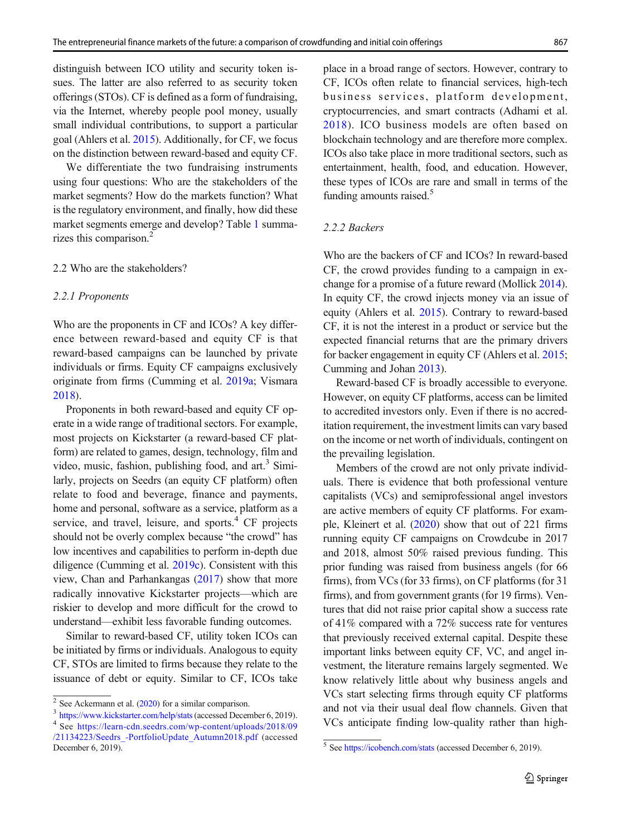distinguish between ICO utility and security token issues. The latter are also referred to as security token offerings (STOs). CF is defined as a form of fundraising, via the Internet, whereby people pool money, usually small individual contributions, to support a particular goal (Ahlers et al. [2015\)](#page-16-0). Additionally, for CF, we focus on the distinction between reward-based and equity CF.

We differentiate the two fundraising instruments using four questions: Who are the stakeholders of the market segments? How do the markets function? What is the regulatory environment, and finally, how did these market segments emerge and develop? Table [1](#page-3-0) summarizes this comparison.<sup>2</sup>

### 2.2 Who are the stakeholders?

### 2.2.1 Proponents

Who are the proponents in CF and ICOs? A key difference between reward-based and equity CF is that reward-based campaigns can be launched by private individuals or firms. Equity CF campaigns exclusively originate from firms (Cumming et al. [2019a](#page-16-0); Vismara [2018](#page-17-0)).

Proponents in both reward-based and equity CF operate in a wide range of traditional sectors. For example, most projects on Kickstarter (a reward-based CF platform) are related to games, design, technology, film and video, music, fashion, publishing food, and  $art^3$ . Similarly, projects on Seedrs (an equity CF platform) often relate to food and beverage, finance and payments, home and personal, software as a service, platform as a service, and travel, leisure, and sports.<sup>4</sup> CF projects should not be overly complex because "the crowd" has low incentives and capabilities to perform in-depth due diligence (Cumming et al. [2019c\)](#page-16-0). Consistent with this view, Chan and Parhankangas ([2017](#page-16-0)) show that more radically innovative Kickstarter projects—which are riskier to develop and more difficult for the crowd to understand—exhibit less favorable funding outcomes.

Similar to reward-based CF, utility token ICOs can be initiated by firms or individuals. Analogous to equity CF, STOs are limited to firms because they relate to the issuance of debt or equity. Similar to CF, ICOs take place in a broad range of sectors. However, contrary to CF, ICOs often relate to financial services, high-tech business services, platform development, cryptocurrencies, and smart contracts (Adhami et al. [2018](#page-16-0)). ICO business models are often based on blockchain technology and are therefore more complex. ICOs also take place in more traditional sectors, such as entertainment, health, food, and education. However, these types of ICOs are rare and small in terms of the funding amounts raised.<sup>5</sup>

### 2.2.2 Backers

Who are the backers of CF and ICOs? In reward-based CF, the crowd provides funding to a campaign in exchange for a promise of a future reward (Mollick [2014\)](#page-17-0). In equity CF, the crowd injects money via an issue of equity (Ahlers et al. [2015](#page-16-0)). Contrary to reward-based CF, it is not the interest in a product or service but the expected financial returns that are the primary drivers for backer engagement in equity CF (Ahlers et al. [2015;](#page-16-0) Cumming and Johan [2013](#page-16-0)).

Reward-based CF is broadly accessible to everyone. However, on equity CF platforms, access can be limited to accredited investors only. Even if there is no accreditation requirement, the investment limits can vary based on the income or net worth of individuals, contingent on the prevailing legislation.

Members of the crowd are not only private individuals. There is evidence that both professional venture capitalists (VCs) and semiprofessional angel investors are active members of equity CF platforms. For example, Kleinert et al. ([2020](#page-17-0)) show that out of 221 firms running equity CF campaigns on Crowdcube in 2017 and 2018, almost 50% raised previous funding. This prior funding was raised from business angels (for 66 firms), from VCs (for 33 firms), on CF platforms (for 31 firms), and from government grants (for 19 firms). Ventures that did not raise prior capital show a success rate of 41% compared with a 72% success rate for ventures that previously received external capital. Despite these important links between equity CF, VC, and angel investment, the literature remains largely segmented. We know relatively little about why business angels and VCs start selecting firms through equity CF platforms and not via their usual deal flow channels. Given that VCs anticipate finding low-quality rather than high-

<sup>&</sup>lt;sup>2</sup> See Ackermann et al. [\(2020](#page-15-0)) for a similar comparison.<br><sup>3</sup> <https://www.kickstarter.com/help/stats> (accessed December 6, 2019).<br><sup>4</sup> See [https://learn-cdn.seedrs.com/wp-content/uploads/2018/09](https://learn-cdn.seedrs.com/wp-content/uploads/2018/09/21134223/Seedrs_-PortfolioUpdate_Autumn2018.pdf) [/21134223/Seedrs\\_-PortfolioUpdate\\_Autumn2018.pdf](https://learn-cdn.seedrs.com/wp-content/uploads/2018/09/21134223/Seedrs_-PortfolioUpdate_Autumn2018.pdf) (accessed

December 6, 2019).<sup>5</sup> See <https://icobench.com/stats> (accessed December 6, 2019).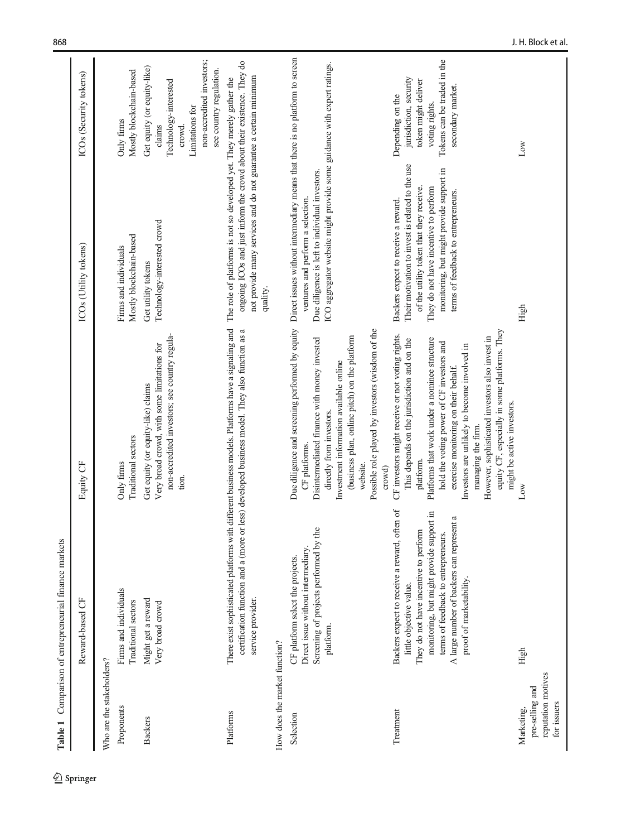<span id="page-3-0"></span>

|                                                      | Table 1 Comparison of entrepreneurial finance markets                                                                                                                                                                                                                       |                                                                                                                                                                                                                                                                                                                                                                                                                                                            |                                                                                                                                                                                                                                                                |                                                                                                                                                     |
|------------------------------------------------------|-----------------------------------------------------------------------------------------------------------------------------------------------------------------------------------------------------------------------------------------------------------------------------|------------------------------------------------------------------------------------------------------------------------------------------------------------------------------------------------------------------------------------------------------------------------------------------------------------------------------------------------------------------------------------------------------------------------------------------------------------|----------------------------------------------------------------------------------------------------------------------------------------------------------------------------------------------------------------------------------------------------------------|-----------------------------------------------------------------------------------------------------------------------------------------------------|
|                                                      | Reward-based CF                                                                                                                                                                                                                                                             | Equity CF                                                                                                                                                                                                                                                                                                                                                                                                                                                  | ICOs (Utility tokens)                                                                                                                                                                                                                                          | ICOs (Security tokens)                                                                                                                              |
| Who are the stakeholders?                            |                                                                                                                                                                                                                                                                             |                                                                                                                                                                                                                                                                                                                                                                                                                                                            |                                                                                                                                                                                                                                                                |                                                                                                                                                     |
| Proponents                                           | Firms and individuals<br>Traditional sectors                                                                                                                                                                                                                                | Traditional sectors<br>Only firms                                                                                                                                                                                                                                                                                                                                                                                                                          | Mostly blockchain-based<br>Firms and individuals                                                                                                                                                                                                               | Mostly blockchain-based<br>Only firms                                                                                                               |
| <b>Backers</b>                                       | Might get a reward<br>Very broad crowd                                                                                                                                                                                                                                      | non-accredited investors; see country regula-<br>Very broad crowd, with some limitations for<br>Get equity (or equity-like) claims<br>tion.                                                                                                                                                                                                                                                                                                                | Technology-interested crowd<br>Get utility tokens                                                                                                                                                                                                              | non-accredited investors;<br>Get equity (or equity-like)<br>see country regulation.<br>Technology-interested<br>Limitations for<br>claims<br>crowd. |
| Platforms                                            | service provider.                                                                                                                                                                                                                                                           | There exist sophisticated platforms with different business models. Platforms have a signaling and<br>certification function and a (more or less) developed business model. They also function as a                                                                                                                                                                                                                                                        | ongoing ICOs and just inform the crowd about their existence. They do<br>not provide many services and do not guarantee a certain minimum<br>The role of platforms is not so developed yet. They merely gather the<br>quality.                                 |                                                                                                                                                     |
| How does the market function?                        |                                                                                                                                                                                                                                                                             |                                                                                                                                                                                                                                                                                                                                                                                                                                                            |                                                                                                                                                                                                                                                                |                                                                                                                                                     |
| Selection                                            | Screening of projects performed by the<br>Direct issue without intermediary.<br>CF platform select the projects.<br>platform.                                                                                                                                               | Due diligence and screening performed by equity<br>Possible role played by investors (wisdom of the<br>(business plan, online pitch) on the platform<br>Disintermediated finance with money invested<br>Investment information available online<br>directly from investors.<br>CF platforms.<br>website.<br>crowd)                                                                                                                                         | Direct issues without intermediary means that there is no platform to screen<br>ICO aggregator website might provide some guidance with expert ratings.<br>Due diligence is left to individual investors.<br>ventures and perform a selection.                 |                                                                                                                                                     |
| Treatment                                            | Backers expect to receive a reward, often of<br>monitoring, but might provide support in<br>A large number of backers can represent a<br>They do not have incentive to perform<br>terms of feedback to entrepreneurs.<br>proof of marketability.<br>little objective value. | equity CF, especially in some platforms. They<br>CF investors might receive or not voting rights.<br>However, sophisticated investors also invest in<br>Platforms that work under a nominee structure<br>This depends on the jurisdiction and on the<br>hold the voting power of CF investors and<br>Investors are unlikely to become involved in<br>exercise monitoring on their behalf.<br>might be active investors.<br>managing the firm.<br>platform. | Their motivation to invest is related to the use<br>monitoring, but might provide support in<br>of the utility token that they receive.<br>They do not have incentive to perform<br>terms of feedback to entrepreneurs.<br>Backers expect to receive a reward. | Tokens can be traded in the<br>jurisdiction, security<br>token might deliver<br>secondary market.<br>Depending on the<br>voting rights.             |
| Marketing,                                           | High                                                                                                                                                                                                                                                                        | <b>NOT</b>                                                                                                                                                                                                                                                                                                                                                                                                                                                 | High                                                                                                                                                                                                                                                           | Low                                                                                                                                                 |
| reputation motives<br>pre-selling and<br>for issuers |                                                                                                                                                                                                                                                                             |                                                                                                                                                                                                                                                                                                                                                                                                                                                            |                                                                                                                                                                                                                                                                |                                                                                                                                                     |
|                                                      |                                                                                                                                                                                                                                                                             |                                                                                                                                                                                                                                                                                                                                                                                                                                                            |                                                                                                                                                                                                                                                                |                                                                                                                                                     |

 $\underline{\textcircled{\tiny 2}}$  Springer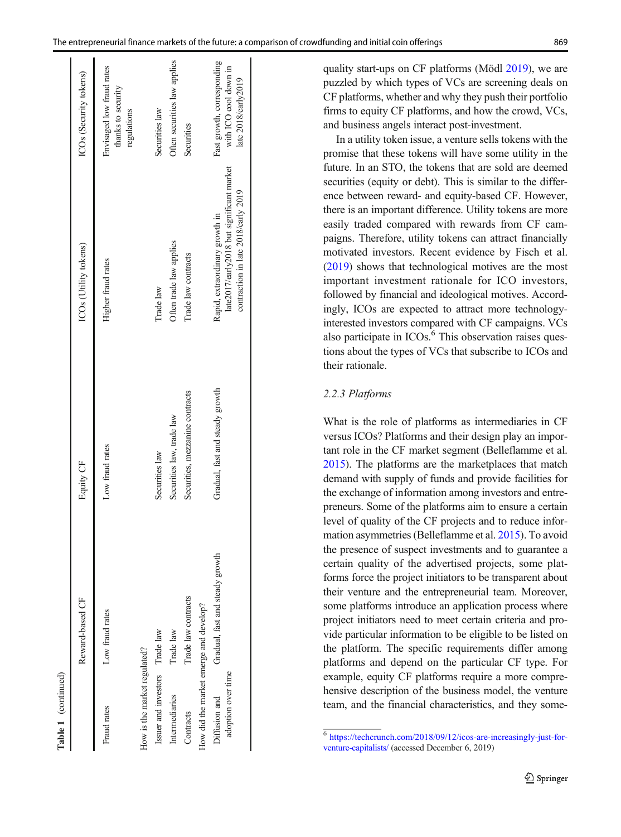| Table 1 (continued)                    |                                 |                                 |                                                                                                                    |                                                                            |
|----------------------------------------|---------------------------------|---------------------------------|--------------------------------------------------------------------------------------------------------------------|----------------------------------------------------------------------------|
|                                        | Reward-based CF                 | Equity CF                       | ICOs (Utility tokens)                                                                                              | ICO <sub>s</sub> (Security tokens)                                         |
| Fraud rates                            | Low fraud rates                 | Low fraud rates                 | Higher fraud rates                                                                                                 | Envisaged low fraud rates<br>thanks to security<br>regulations             |
| How is the market regulated?           |                                 |                                 |                                                                                                                    |                                                                            |
| Issuer and investors Trade law         |                                 | Securities law                  | Trade law                                                                                                          | Securities law                                                             |
| Intermediaries                         | Trade law                       | Securities law, trade law       | Often trade law applies                                                                                            | Often securities law applies                                               |
| Contracts                              | Trade law contracts             | Securities, mezzanine contracts | Trade law contracts                                                                                                | Securities                                                                 |
| How did the market emerge and develop? |                                 |                                 |                                                                                                                    |                                                                            |
| adoption over time<br>Diffusion and    | Gradual, fast and steady growth | Gradual, fast and steady growth | late2017/early2018 but significant market<br>contraction in late 2018/early 2019<br>Rapid, extraordinary growth in | Fast growth, corresponding<br>with ICO cool down in<br>late 2018/early2019 |
|                                        |                                 |                                 |                                                                                                                    |                                                                            |

quality start-ups on CF platforms (Mödl [2019\)](#page-17-0), we are puzzled by which types of VCs are screening deals on CF platforms, whether and why they push their portfolio firms to equity CF platforms, and how the crowd, VCs, and business angels interact post-investment.

In a utility token issue, a venture sells tokens with the promise that these tokens will have some utility in the future. In an STO, the tokens that are sold are deemed securities (equity or debt). This is similar to the difference between reward- and equity-based CF. However, there is an important difference. Utility tokens are more easily traded compared with rewards from CF campaigns. Therefore, utility tokens can attract financially motivated investors. Recent evidence by Fisch et al. [\(2019\)](#page-16-0) shows that technological motives are the most important investment rationale for ICO investors, followed by financial and ideological motives. Accordingly, ICOs are expected to attract more technologyinterested investors compared with CF campaigns. VCs also participate in  $ICOs<sup>6</sup>$ . This observation raises questions about the types of VCs that subscribe to ICOs and their rationale.

# 2.2.3 Platforms

What is the role of platforms as intermediaries in CF versus ICOs? Platforms and their design play an important role in the CF market segment (Belleflamme et al. [2015](#page-16-0)). The platforms are the marketplaces that match demand with supply of funds and provide facilities for the exchange of information among investors and entrepreneurs. Some of the platforms aim to ensure a certain level of quality of the CF projects and to reduce information asymmetries (Belleflamme et al. [2015\)](#page-16-0). To avoid the presence of suspect investments and to guarantee a certain quality of the advertised projects, some platforms force the project initiators to be transparent about their venture and the entrepreneurial team. Moreover, some platforms introduce an application process where project initiators need to meet certain criteria and provide particular information to be eligible to be listed on the platform. The specific requirements differ among platforms and depend on the particular CF type. For example, equity CF platforms require a more comprehensive description of the business model, the venture team, and the financial characteristics, and they some-

<sup>6</sup> [https://techcrunch.com/2018/09/12/icos-are-increasingly-just-for](https://techcrunch.com/2018/09/12/icos-are-increasingly-just-for-venture-capitalists/)[venture-capitalists/](https://techcrunch.com/2018/09/12/icos-are-increasingly-just-for-venture-capitalists/) (accessed December 6, 2019)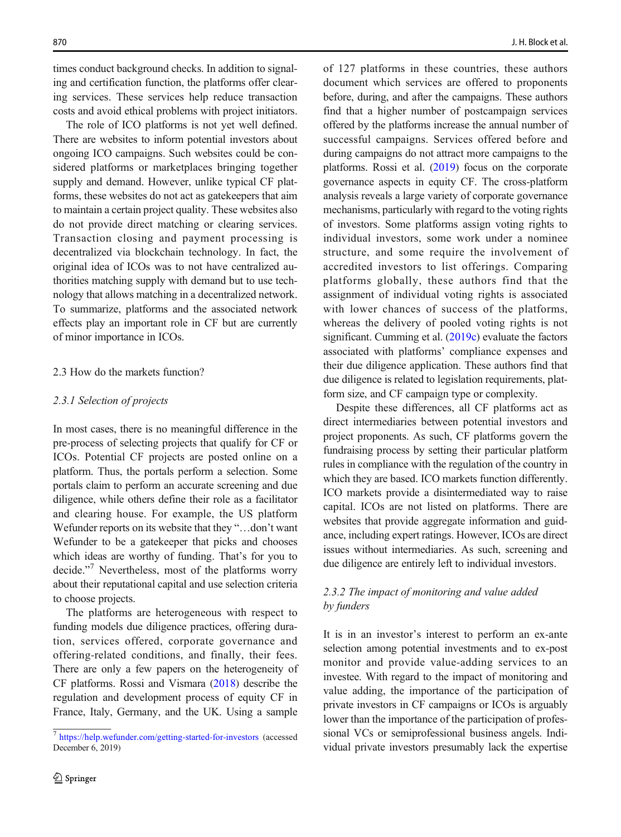times conduct background checks. In addition to signaling and certification function, the platforms offer clearing services. These services help reduce transaction costs and avoid ethical problems with project initiators.

The role of ICO platforms is not yet well defined. There are websites to inform potential investors about ongoing ICO campaigns. Such websites could be considered platforms or marketplaces bringing together supply and demand. However, unlike typical CF platforms, these websites do not act as gatekeepers that aim to maintain a certain project quality. These websites also do not provide direct matching or clearing services. Transaction closing and payment processing is decentralized via blockchain technology. In fact, the original idea of ICOs was to not have centralized authorities matching supply with demand but to use technology that allows matching in a decentralized network. To summarize, platforms and the associated network effects play an important role in CF but are currently of minor importance in ICOs.

### 2.3 How do the markets function?

#### 2.3.1 Selection of projects

In most cases, there is no meaningful difference in the pre-process of selecting projects that qualify for CF or ICOs. Potential CF projects are posted online on a platform. Thus, the portals perform a selection. Some portals claim to perform an accurate screening and due diligence, while others define their role as a facilitator and clearing house. For example, the US platform Wefunder reports on its website that they "…don't want Wefunder to be a gatekeeper that picks and chooses which ideas are worthy of funding. That's for you to decide." <sup>7</sup> Nevertheless, most of the platforms worry about their reputational capital and use selection criteria to choose projects.

The platforms are heterogeneous with respect to funding models due diligence practices, offering duration, services offered, corporate governance and offering-related conditions, and finally, their fees. There are only a few papers on the heterogeneity of CF platforms. Rossi and Vismara [\(2018\)](#page-17-0) describe the regulation and development process of equity CF in France, Italy, Germany, and the UK. Using a sample

of 127 platforms in these countries, these authors document which services are offered to proponents before, during, and after the campaigns. These authors find that a higher number of postcampaign services offered by the platforms increase the annual number of successful campaigns. Services offered before and during campaigns do not attract more campaigns to the platforms. Rossi et al. ([2019](#page-17-0)) focus on the corporate governance aspects in equity CF. The cross-platform analysis reveals a large variety of corporate governance mechanisms, particularly with regard to the voting rights of investors. Some platforms assign voting rights to individual investors, some work under a nominee structure, and some require the involvement of accredited investors to list offerings. Comparing platforms globally, these authors find that the assignment of individual voting rights is associated with lower chances of success of the platforms, whereas the delivery of pooled voting rights is not significant. Cumming et al. [\(2019c\)](#page-16-0) evaluate the factors associated with platforms' compliance expenses and their due diligence application. These authors find that due diligence is related to legislation requirements, platform size, and CF campaign type or complexity.

Despite these differences, all CF platforms act as direct intermediaries between potential investors and project proponents. As such, CF platforms govern the fundraising process by setting their particular platform rules in compliance with the regulation of the country in which they are based. ICO markets function differently. ICO markets provide a disintermediated way to raise capital. ICOs are not listed on platforms. There are websites that provide aggregate information and guidance, including expert ratings. However, ICOs are direct issues without intermediaries. As such, screening and due diligence are entirely left to individual investors.

# 2.3.2 The impact of monitoring and value added by funders

It is in an investor's interest to perform an ex-ante selection among potential investments and to ex-post monitor and provide value-adding services to an investee. With regard to the impact of monitoring and value adding, the importance of the participation of private investors in CF campaigns or ICOs is arguably lower than the importance of the participation of professional VCs or semiprofessional business angels. Individual private investors presumably lack the expertise

<sup>7</sup> <https://help.wefunder.com/getting-started-for-investors> (accessed December 6, 2019)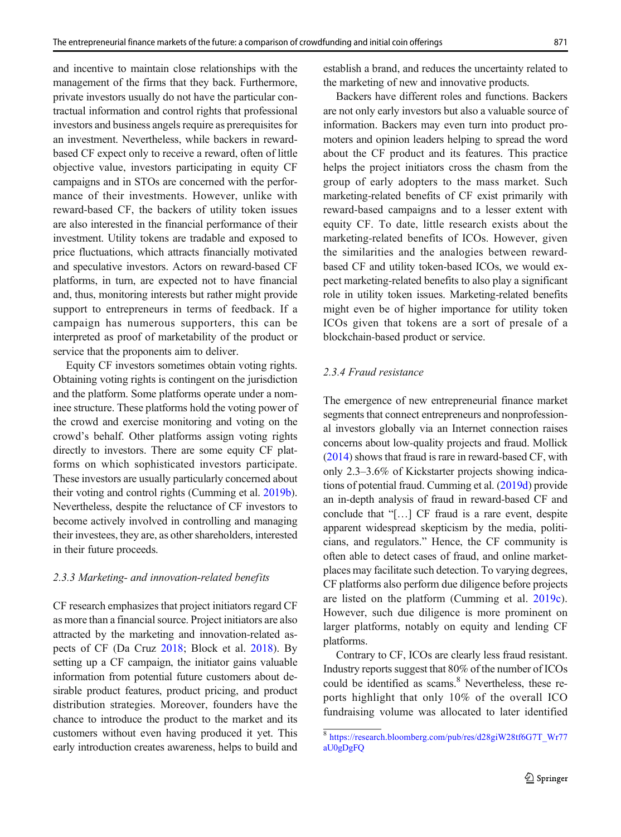and incentive to maintain close relationships with the management of the firms that they back. Furthermore, private investors usually do not have the particular contractual information and control rights that professional investors and business angels require as prerequisites for an investment. Nevertheless, while backers in rewardbased CF expect only to receive a reward, often of little objective value, investors participating in equity CF campaigns and in STOs are concerned with the performance of their investments. However, unlike with reward-based CF, the backers of utility token issues are also interested in the financial performance of their investment. Utility tokens are tradable and exposed to price fluctuations, which attracts financially motivated and speculative investors. Actors on reward-based CF platforms, in turn, are expected not to have financial and, thus, monitoring interests but rather might provide support to entrepreneurs in terms of feedback. If a campaign has numerous supporters, this can be interpreted as proof of marketability of the product or service that the proponents aim to deliver.

Equity CF investors sometimes obtain voting rights. Obtaining voting rights is contingent on the jurisdiction and the platform. Some platforms operate under a nominee structure. These platforms hold the voting power of the crowd and exercise monitoring and voting on the crowd's behalf. Other platforms assign voting rights directly to investors. There are some equity CF platforms on which sophisticated investors participate. These investors are usually particularly concerned about their voting and control rights (Cumming et al. [2019b\)](#page-16-0). Nevertheless, despite the reluctance of CF investors to become actively involved in controlling and managing their investees, they are, as other shareholders, interested in their future proceeds.

# 2.3.3 Marketing- and innovation-related benefits

CF research emphasizes that project initiators regard CF as more than a financial source. Project initiators are also attracted by the marketing and innovation-related aspects of CF (Da Cruz [2018;](#page-16-0) Block et al. [2018\)](#page-16-0). By setting up a CF campaign, the initiator gains valuable information from potential future customers about desirable product features, product pricing, and product distribution strategies. Moreover, founders have the chance to introduce the product to the market and its customers without even having produced it yet. This early introduction creates awareness, helps to build and establish a brand, and reduces the uncertainty related to the marketing of new and innovative products.

Backers have different roles and functions. Backers are not only early investors but also a valuable source of information. Backers may even turn into product promoters and opinion leaders helping to spread the word about the CF product and its features. This practice helps the project initiators cross the chasm from the group of early adopters to the mass market. Such marketing-related benefits of CF exist primarily with reward-based campaigns and to a lesser extent with equity CF. To date, little research exists about the marketing-related benefits of ICOs. However, given the similarities and the analogies between rewardbased CF and utility token-based ICOs, we would expect marketing-related benefits to also play a significant role in utility token issues. Marketing-related benefits might even be of higher importance for utility token ICOs given that tokens are a sort of presale of a blockchain-based product or service.

# 2.3.4 Fraud resistance

The emergence of new entrepreneurial finance market segments that connect entrepreneurs and nonprofessional investors globally via an Internet connection raises concerns about low-quality projects and fraud. Mollick [\(2014\)](#page-17-0) shows that fraud is rare in reward-based CF, with only 2.3–3.6% of Kickstarter projects showing indications of potential fraud. Cumming et al. [\(2019d](#page-16-0)) provide an in-depth analysis of fraud in reward-based CF and conclude that "[…] CF fraud is a rare event, despite apparent widespread skepticism by the media, politicians, and regulators." Hence, the CF community is often able to detect cases of fraud, and online marketplaces may facilitate such detection. To varying degrees, CF platforms also perform due diligence before projects are listed on the platform (Cumming et al. [2019c\)](#page-16-0). However, such due diligence is more prominent on larger platforms, notably on equity and lending CF platforms.

Contrary to CF, ICOs are clearly less fraud resistant. Industry reports suggest that 80% of the number of ICOs could be identified as scams.<sup>8</sup> Nevertheless, these reports highlight that only 10% of the overall ICO fundraising volume was allocated to later identified

<sup>8</sup> [https://research.bloomberg.com/pub/res/d28giW28tf6G7T\\_Wr77](https://research.bloomberg.com/pub/res/d28giW28tf6G7T_Wr77aU0gDgFQ) [aU0gDgFQ](https://research.bloomberg.com/pub/res/d28giW28tf6G7T_Wr77aU0gDgFQ)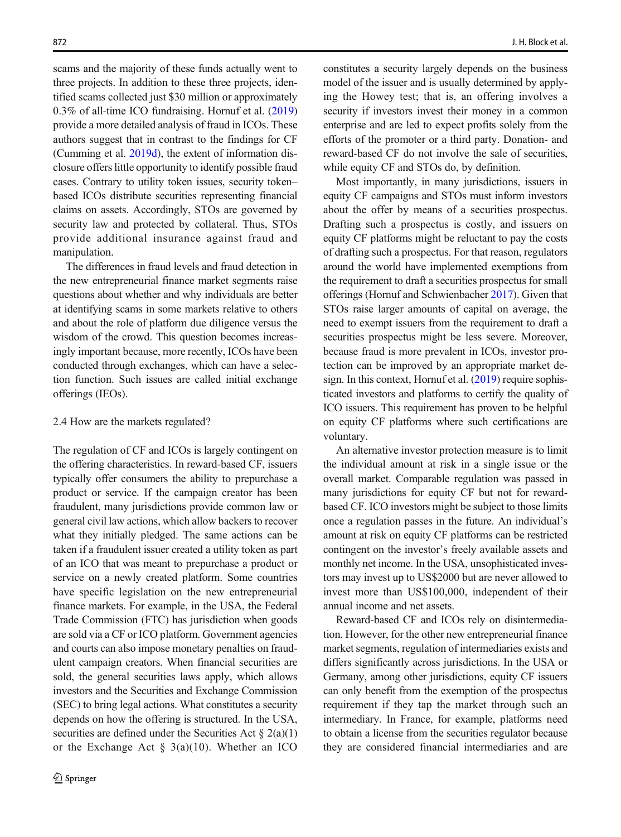scams and the majority of these funds actually went to three projects. In addition to these three projects, identified scams collected just \$30 million or approximately 0.3% of all-time ICO fundraising. Hornuf et al. [\(2019\)](#page-17-0) provide a more detailed analysis of fraud in ICOs. These authors suggest that in contrast to the findings for CF (Cumming et al. [2019d\)](#page-16-0), the extent of information disclosure offers little opportunity to identify possible fraud cases. Contrary to utility token issues, security token– based ICOs distribute securities representing financial claims on assets. Accordingly, STOs are governed by security law and protected by collateral. Thus, STOs provide additional insurance against fraud and manipulation.

The differences in fraud levels and fraud detection in the new entrepreneurial finance market segments raise questions about whether and why individuals are better at identifying scams in some markets relative to others and about the role of platform due diligence versus the wisdom of the crowd. This question becomes increasingly important because, more recently, ICOs have been conducted through exchanges, which can have a selection function. Such issues are called initial exchange offerings (IEOs).

#### 2.4 How are the markets regulated?

The regulation of CF and ICOs is largely contingent on the offering characteristics. In reward-based CF, issuers typically offer consumers the ability to prepurchase a product or service. If the campaign creator has been fraudulent, many jurisdictions provide common law or general civil law actions, which allow backers to recover what they initially pledged. The same actions can be taken if a fraudulent issuer created a utility token as part of an ICO that was meant to prepurchase a product or service on a newly created platform. Some countries have specific legislation on the new entrepreneurial finance markets. For example, in the USA, the Federal Trade Commission (FTC) has jurisdiction when goods are sold via a CF or ICO platform. Government agencies and courts can also impose monetary penalties on fraudulent campaign creators. When financial securities are sold, the general securities laws apply, which allows investors and the Securities and Exchange Commission (SEC) to bring legal actions. What constitutes a security depends on how the offering is structured. In the USA, securities are defined under the Securities Act  $\S 2(a)(1)$ or the Exchange Act  $\S$  3(a)(10). Whether an ICO constitutes a security largely depends on the business model of the issuer and is usually determined by applying the Howey test; that is, an offering involves a security if investors invest their money in a common enterprise and are led to expect profits solely from the efforts of the promoter or a third party. Donation- and reward-based CF do not involve the sale of securities, while equity CF and STOs do, by definition.

Most importantly, in many jurisdictions, issuers in equity CF campaigns and STOs must inform investors about the offer by means of a securities prospectus. Drafting such a prospectus is costly, and issuers on equity CF platforms might be reluctant to pay the costs of drafting such a prospectus. For that reason, regulators around the world have implemented exemptions from the requirement to draft a securities prospectus for small offerings (Hornuf and Schwienbacher [2017](#page-17-0)). Given that STOs raise larger amounts of capital on average, the need to exempt issuers from the requirement to draft a securities prospectus might be less severe. Moreover, because fraud is more prevalent in ICOs, investor protection can be improved by an appropriate market design. In this context, Hornuf et al. [\(2019\)](#page-17-0) require sophisticated investors and platforms to certify the quality of ICO issuers. This requirement has proven to be helpful on equity CF platforms where such certifications are voluntary.

An alternative investor protection measure is to limit the individual amount at risk in a single issue or the overall market. Comparable regulation was passed in many jurisdictions for equity CF but not for rewardbased CF. ICO investors might be subject to those limits once a regulation passes in the future. An individual's amount at risk on equity CF platforms can be restricted contingent on the investor's freely available assets and monthly net income. In the USA, unsophisticated investors may invest up to US\$2000 but are never allowed to invest more than US\$100,000, independent of their annual income and net assets.

Reward-based CF and ICOs rely on disintermediation. However, for the other new entrepreneurial finance market segments, regulation of intermediaries exists and differs significantly across jurisdictions. In the USA or Germany, among other jurisdictions, equity CF issuers can only benefit from the exemption of the prospectus requirement if they tap the market through such an intermediary. In France, for example, platforms need to obtain a license from the securities regulator because they are considered financial intermediaries and are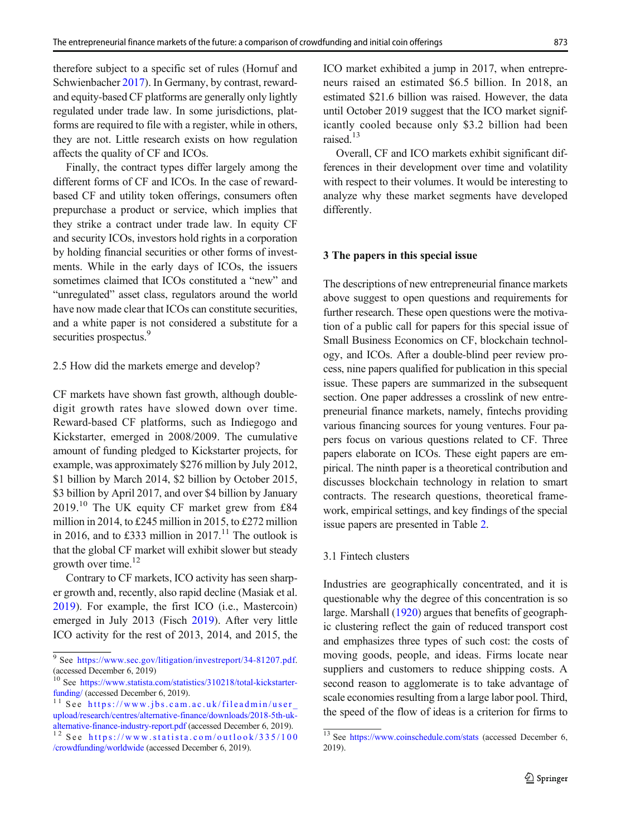therefore subject to a specific set of rules (Hornuf and Schwienbacher [2017\)](#page-17-0). In Germany, by contrast, rewardand equity-based CF platforms are generally only lightly regulated under trade law. In some jurisdictions, platforms are required to file with a register, while in others, they are not. Little research exists on how regulation affects the quality of CF and ICOs.

Finally, the contract types differ largely among the different forms of CF and ICOs. In the case of rewardbased CF and utility token offerings, consumers often prepurchase a product or service, which implies that they strike a contract under trade law. In equity CF and security ICOs, investors hold rights in a corporation by holding financial securities or other forms of investments. While in the early days of ICOs, the issuers sometimes claimed that ICOs constituted a "new" and "unregulated" asset class, regulators around the world have now made clear that ICOs can constitute securities. and a white paper is not considered a substitute for a securities prospectus.<sup>9</sup>

2.5 How did the markets emerge and develop?

CF markets have shown fast growth, although doubledigit growth rates have slowed down over time. Reward-based CF platforms, such as Indiegogo and Kickstarter, emerged in 2008/2009. The cumulative amount of funding pledged to Kickstarter projects, for example, was approximately \$276 million by July 2012, \$1 billion by March 2014, \$2 billion by October 2015, \$3 billion by April 2017, and over \$4 billion by January 2019.<sup>10</sup> The UK equity CF market grew from £84 million in 2014, to £245 million in 2015, to £272 million in 2016, and to £333 million in 2017.<sup>11</sup> The outlook is that the global CF market will exhibit slower but steady growth over time.12

Contrary to CF markets, ICO activity has seen sharper growth and, recently, also rapid decline (Masiak et al. [2019\)](#page-17-0). For example, the first ICO (i.e., Mastercoin) emerged in July 2013 (Fisch [2019\)](#page-16-0). After very little ICO activity for the rest of 2013, 2014, and 2015, the ICO market exhibited a jump in 2017, when entrepreneurs raised an estimated \$6.5 billion. In 2018, an estimated \$21.6 billion was raised. However, the data until October 2019 suggest that the ICO market significantly cooled because only \$3.2 billion had been raised.13

Overall, CF and ICO markets exhibit significant differences in their development over time and volatility with respect to their volumes. It would be interesting to analyze why these market segments have developed differently.

#### 3 The papers in this special issue

The descriptions of new entrepreneurial finance markets above suggest to open questions and requirements for further research. These open questions were the motivation of a public call for papers for this special issue of Small Business Economics on CF, blockchain technology, and ICOs. After a double-blind peer review process, nine papers qualified for publication in this special issue. These papers are summarized in the subsequent section. One paper addresses a crosslink of new entrepreneurial finance markets, namely, fintechs providing various financing sources for young ventures. Four papers focus on various questions related to CF. Three papers elaborate on ICOs. These eight papers are empirical. The ninth paper is a theoretical contribution and discusses blockchain technology in relation to smart contracts. The research questions, theoretical framework, empirical settings, and key findings of the special issue papers are presented in Table [2](#page-9-0).

## 3.1 Fintech clusters

Industries are geographically concentrated, and it is questionable why the degree of this concentration is so large. Marshall ([1920](#page-17-0)) argues that benefits of geographic clustering reflect the gain of reduced transport cost and emphasizes three types of such cost: the costs of moving goods, people, and ideas. Firms locate near suppliers and customers to reduce shipping costs. A second reason to agglomerate is to take advantage of scale economies resulting from a large labor pool. Third, the speed of the flow of ideas is a criterion for firms to

<sup>9</sup> See <https://www.sec.gov/litigation/investreport/34-81207.pdf>. (accessed December 6, 2019)

<sup>10</sup> See [https://www.statista.com/statistics/310218/total-kickstarter](https://www.statista.com/statistics/310218/total-kickstarter-funding/)[funding/](https://www.statista.com/statistics/310218/total-kickstarter-funding/) (accessed December 6, 2019).<br><sup>11</sup> See https://www.jbs.cam.[ac.uk/fileadmin/user\\_](http://creativecommons.org/licenses/by/4.0/)

[upload/research/centres/alternative-finance/downloads/2018-5th-uk-](http://creativecommons.org/licenses/by/4.0/)

 $12$  See [https://www.statista.com/outlook/335/100](https://www.statista.com/outlook/335/100/crowdfunding/worldwide) [/crowdfunding/worldwide](https://www.statista.com/outlook/335/100/crowdfunding/worldwide) (accessed December 6, 2019).

<sup>&</sup>lt;sup>13</sup> See <https://www.coinschedule.com/stats> (accessed December 6, 2019).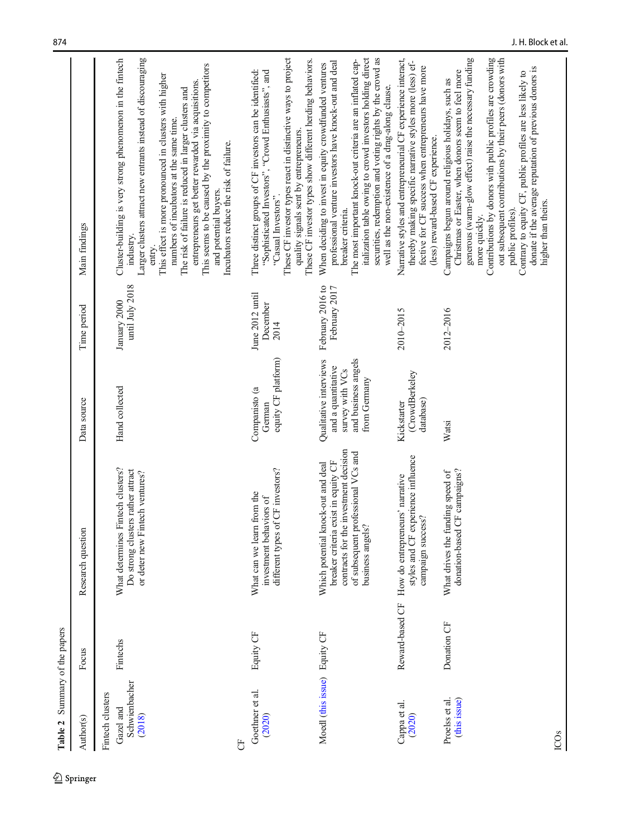<span id="page-9-0"></span>

| Table 2                                                  | Summary of the papers |                                                                                                                                                                              |                                                                                                        |                                     |                                                                                                                                                                                                                                                                                                                                                                                                                                                                                                     |
|----------------------------------------------------------|-----------------------|------------------------------------------------------------------------------------------------------------------------------------------------------------------------------|--------------------------------------------------------------------------------------------------------|-------------------------------------|-----------------------------------------------------------------------------------------------------------------------------------------------------------------------------------------------------------------------------------------------------------------------------------------------------------------------------------------------------------------------------------------------------------------------------------------------------------------------------------------------------|
| Author(s)                                                | Focus                 | Research question                                                                                                                                                            | Data source                                                                                            | Time period                         | Main findings                                                                                                                                                                                                                                                                                                                                                                                                                                                                                       |
| Schwienbacher<br>Fintech clusters<br>Gazel and<br>(2018) | Fintechs              | What determines Fintech clusters?<br>Do strong clusters rather attract<br>or deter new Fintech ventures?                                                                     | Hand collected                                                                                         | until July 2018<br>January 2000     | Larger clusters attract new entrants instead of discouraging<br>Cluster-building is very strong phenomenon in the fintech<br>This seems to be caused by the proximity to competitors<br>This effect is more pronounced in clusters with higher<br>entrepreneurs get better rewarded via acquisitions.<br>The risk of failure is reduced in larger clusters and<br>numbers of incubators at the same time.<br>Incubators reduce the risk of failure.<br>and potential buyers.<br>industry.<br>entry. |
| Goethner et al.<br>(2020)<br>5                           | Equity CF             | different types of CF investors?<br>What can we learn from the<br>investment behaviors of                                                                                    | equity CF platform)<br>Companisto (a<br>German                                                         | June 2012 until<br>December<br>2014 | These CF investor types react in distinctive ways to project<br>These CF investor types show different herding behaviors.<br>Three distinct groups of CF investors can be identified:<br>"Sophisticated Investors", "Crowd Enthusiasts", and<br>quality signals sent by entrepreneurs.<br>"Casual Investors".                                                                                                                                                                                       |
| Moedl (this issue) Equity CF                             |                       | contracts for the investment decision<br>of subsequent professional VCs and<br>breaker criteria exist in equity CF<br>Which potential knock-out and deal<br>business angels? | and business angels<br>Qualitative interviews<br>and a quantitative<br>survey with VCs<br>from Germany | February 2016 to<br>February 2017   | italization table owing to crowd investors holding direct<br>securities, redemption and voting rights by the crowd as<br>The most important knock-out criteria are an inflated cap-<br>professional venture investors have knock-out and deal<br>When deciding to invest in equity crowdfunded ventures<br>well as the non-existence of a drag-along clause.<br>breaker criteria.                                                                                                                   |
| Cappa et al.<br>(2020)                                   | Reward-based CF       | and CF experience influence<br>How do entrepreneurs' narrative<br>campaign success?<br>styles                                                                                | (CrowdBerkeley<br>database)<br>Kickstarter                                                             | 2010-2015                           | Narrative styles and entrepreneurial CF experience interact,<br>thereby making specific narrative styles more (less) ef-<br>fective for CF success when entrepreneurs have more<br>(less) reward-based CF experience.                                                                                                                                                                                                                                                                               |
| Proelss et al.<br>(this issue)                           | Donation CF           | donation-based CF campaigns?<br>What drives the funding speed of                                                                                                             | Watsi                                                                                                  | 2012-2016                           | Contributions by donors with public profiles are crowding<br>out subsequent contributions by their peers (donors with<br>generous (warm-glow effect) raise the necessary funding<br>donate if the average reputation of previous donors is<br>Christmas or Easter, when donors seem to feel more<br>Contrary to equity CF, public profiles are less likely to<br>Campaigns begun around religious holidays, such as<br>public profiles).<br>more quickly.                                           |
| <b>ICOs</b>                                              |                       |                                                                                                                                                                              |                                                                                                        |                                     | higher than theirs.                                                                                                                                                                                                                                                                                                                                                                                                                                                                                 |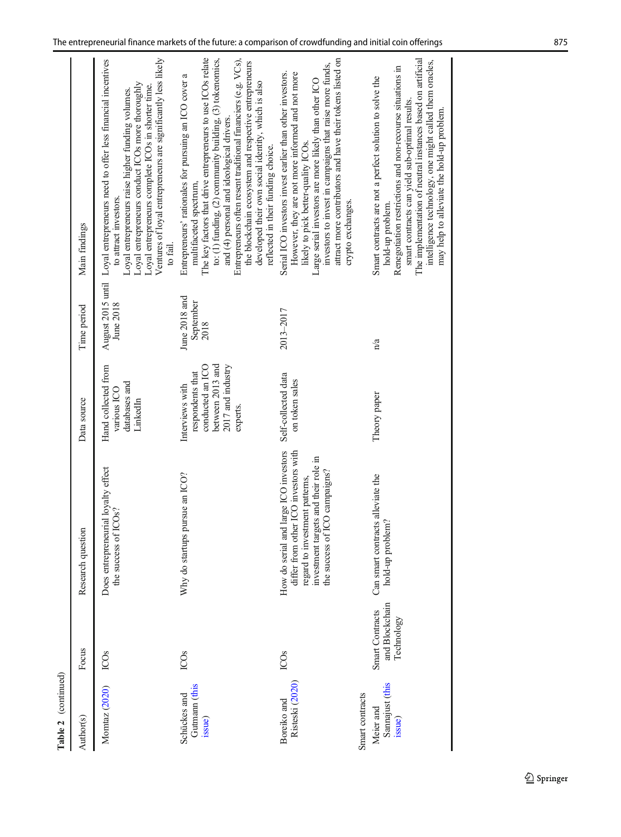| Table 2 (continued)                                       |                                                        |                                                                                                                                                                                                 |                                                                                                              |                                    |                                                                                                                                                                                                                                                                                                                                                                                                                                                                               |
|-----------------------------------------------------------|--------------------------------------------------------|-------------------------------------------------------------------------------------------------------------------------------------------------------------------------------------------------|--------------------------------------------------------------------------------------------------------------|------------------------------------|-------------------------------------------------------------------------------------------------------------------------------------------------------------------------------------------------------------------------------------------------------------------------------------------------------------------------------------------------------------------------------------------------------------------------------------------------------------------------------|
| Author(s)                                                 | Focus                                                  | Research question                                                                                                                                                                               | Data source                                                                                                  | Time period                        | Main findings                                                                                                                                                                                                                                                                                                                                                                                                                                                                 |
| Momtaz (2020)                                             | ICO <sub>s</sub>                                       | Does entrepreneurial loyalty effect<br>the success of ICOs?                                                                                                                                     | Hand collected from<br>databases and<br>various ICO<br>LinkedIn                                              | June 2018                          | Ventures of loyal entrepreneurs are significantly less likely<br>August 2015 until Loyal entrepreneurs need to offer less financial incentives<br>Loyal entrepreneurs conduct ICOs more thoroughly<br>Loyal entrepreneurs complete ICOs in shorter time.<br>Loyal entrepreneurs raise higher funding volumes.<br>to attract investors.<br>to fail.                                                                                                                            |
| Gutmann (this<br>Schückes and<br>issue)                   | ICO <sub>s</sub>                                       | Why do startups pursue an ICO?                                                                                                                                                                  | between 2013 and<br>2017 and industry<br>conducted an ICO<br>respondents that<br>Interviews with<br>experts. | June 2018 and<br>September<br>2018 | The key factors that drive entrepreneurs to use ICOs relate<br>to: (1) funding, (2) community building, (3) tokenomics,<br>Entrepreneurs often resent traditional financiers (e.g. VCs),<br>the blockchain ecosystem and respective entrepreneurs<br>Entrepreneurs' rationales for pursuing an ICO cover a<br>developed their own social identity, which is also<br>and (4) personal and ideological drivers.<br>reflected in their funding choice.<br>multifaceted spectrum, |
| Risteski (2020)<br>Boreiko and                            | ICO <sub>s</sub>                                       | from other ICO investors with<br>How do serial and large ICO investors<br>investment targets and their role in<br>the success of ICO campaigns?<br>regard to investment patterns,<br>differ $f$ | Self-collected data<br>on token sales                                                                        | 2013-2017                          | attract more contributors and have their tokens listed on<br>investors to invest in campaigns that raise more funds,<br>Serial ICO investors invest earlier than other investors.<br>However, they are not more informed and not more<br>Large serial investors are more likely than other ICO<br>likely to pick better-quality ICOs.<br>crypto exchanges.                                                                                                                    |
| Sannajust (this<br>Smart contracts<br>Meier and<br>issue) | and Blockchain<br><b>Smart Contracts</b><br>Technology | Can smart contracts alleviate the<br>hold-up problem?                                                                                                                                           | Theory paper                                                                                                 | n/a                                | The implementation of neutral instances based on artificial<br>intelligence technology, one might called them oracles,<br>Renegotiation restrictions and non-recourse situations in<br>Smart contracts are not a perfect solution to solve the<br>smart contracts can yield sub-optimal results.<br>may help to alleviate the hold-up problem.<br>hold-up problem.                                                                                                            |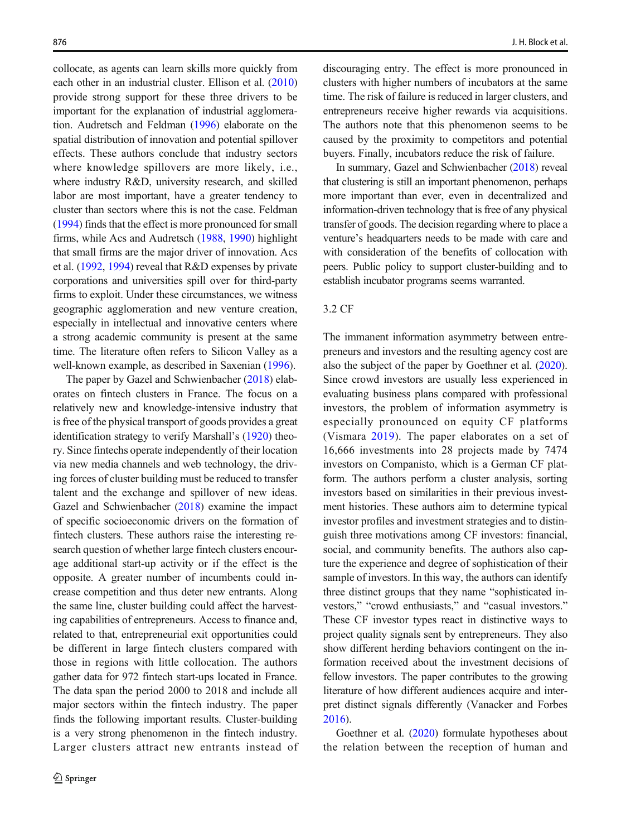collocate, as agents can learn skills more quickly from each other in an industrial cluster. Ellison et al. [\(2010\)](#page-16-0) provide strong support for these three drivers to be important for the explanation of industrial agglomeration. Audretsch and Feldman ([1996](#page-16-0)) elaborate on the spatial distribution of innovation and potential spillover effects. These authors conclude that industry sectors where knowledge spillovers are more likely, i.e., where industry R&D, university research, and skilled labor are most important, have a greater tendency to cluster than sectors where this is not the case. Feldman ([1994](#page-16-0)) finds that the effect is more pronounced for small firms, while Acs and Audretsch [\(1988](#page-15-0), [1990](#page-15-0)) highlight that small firms are the major driver of innovation. Acs et al. ([1992](#page-16-0), [1994\)](#page-16-0) reveal that R&D expenses by private corporations and universities spill over for third-party firms to exploit. Under these circumstances, we witness geographic agglomeration and new venture creation, especially in intellectual and innovative centers where a strong academic community is present at the same time. The literature often refers to Silicon Valley as a well-known example, as described in Saxenian ([1996](#page-17-0)).

The paper by Gazel and Schwienbacher ([2018](#page-16-0)) elaborates on fintech clusters in France. The focus on a relatively new and knowledge-intensive industry that is free of the physical transport of goods provides a great identification strategy to verify Marshall's ([1920](#page-17-0)) theory. Since fintechs operate independently of their location via new media channels and web technology, the driving forces of cluster building must be reduced to transfer talent and the exchange and spillover of new ideas. Gazel and Schwienbacher [\(2018\)](#page-16-0) examine the impact of specific socioeconomic drivers on the formation of fintech clusters. These authors raise the interesting research question of whether large fintech clusters encourage additional start-up activity or if the effect is the opposite. A greater number of incumbents could increase competition and thus deter new entrants. Along the same line, cluster building could affect the harvesting capabilities of entrepreneurs. Access to finance and, related to that, entrepreneurial exit opportunities could be different in large fintech clusters compared with those in regions with little collocation. The authors gather data for 972 fintech start-ups located in France. The data span the period 2000 to 2018 and include all major sectors within the fintech industry. The paper finds the following important results. Cluster-building is a very strong phenomenon in the fintech industry. Larger clusters attract new entrants instead of discouraging entry. The effect is more pronounced in clusters with higher numbers of incubators at the same time. The risk of failure is reduced in larger clusters, and entrepreneurs receive higher rewards via acquisitions. The authors note that this phenomenon seems to be caused by the proximity to competitors and potential buyers. Finally, incubators reduce the risk of failure.

In summary, Gazel and Schwienbacher [\(2018](#page-16-0)) reveal that clustering is still an important phenomenon, perhaps more important than ever, even in decentralized and information-driven technology that is free of any physical transfer of goods. The decision regarding where to place a venture's headquarters needs to be made with care and with consideration of the benefits of collocation with peers. Public policy to support cluster-building and to establish incubator programs seems warranted.

### 3.2 CF

The immanent information asymmetry between entrepreneurs and investors and the resulting agency cost are also the subject of the paper by Goethner et al. [\(2020\)](#page-16-0). Since crowd investors are usually less experienced in evaluating business plans compared with professional investors, the problem of information asymmetry is especially pronounced on equity CF platforms (Vismara [2019\)](#page-17-0). The paper elaborates on a set of 16,666 investments into 28 projects made by 7474 investors on Companisto, which is a German CF platform. The authors perform a cluster analysis, sorting investors based on similarities in their previous investment histories. These authors aim to determine typical investor profiles and investment strategies and to distinguish three motivations among CF investors: financial, social, and community benefits. The authors also capture the experience and degree of sophistication of their sample of investors. In this way, the authors can identify three distinct groups that they name "sophisticated investors," "crowd enthusiasts," and "casual investors." These CF investor types react in distinctive ways to project quality signals sent by entrepreneurs. They also show different herding behaviors contingent on the information received about the investment decisions of fellow investors. The paper contributes to the growing literature of how different audiences acquire and interpret distinct signals differently (Vanacker and Forbes [2016](#page-17-0)).

Goethner et al. ([2020](#page-16-0)) formulate hypotheses about the relation between the reception of human and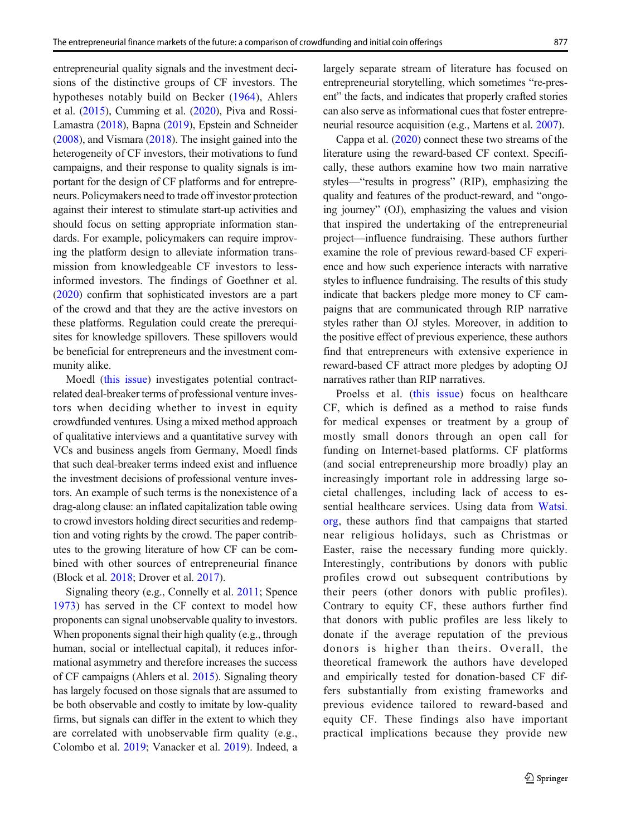entrepreneurial quality signals and the investment decisions of the distinctive groups of CF investors. The hypotheses notably build on Becker [\(1964](#page-16-0)), Ahlers et al. [\(2015\)](#page-16-0), Cumming et al. ([2020](#page-16-0)), Piva and Rossi-Lamastra [\(2018](#page-17-0)), Bapna [\(2019\)](#page-16-0), Epstein and Schneider ([2008](#page-16-0)), and Vismara ([2018](#page-17-0)). The insight gained into the heterogeneity of CF investors, their motivations to fund campaigns, and their response to quality signals is important for the design of CF platforms and for entrepreneurs. Policymakers need to trade off investor protection against their interest to stimulate start-up activities and should focus on setting appropriate information standards. For example, policymakers can require improving the platform design to alleviate information transmission from knowledgeable CF investors to lessinformed investors. The findings of Goethner et al. ([2020](#page-16-0)) confirm that sophisticated investors are a part of the crowd and that they are the active investors on these platforms. Regulation could create the prerequisites for knowledge spillovers. These spillovers would be beneficial for entrepreneurs and the investment community alike.

Moedl ([this issue\)](#page-17-0) investigates potential contractrelated deal-breaker terms of professional venture investors when deciding whether to invest in equity crowdfunded ventures. Using a mixed method approach of qualitative interviews and a quantitative survey with VCs and business angels from Germany, Moedl finds that such deal-breaker terms indeed exist and influence the investment decisions of professional venture investors. An example of such terms is the nonexistence of a drag-along clause: an inflated capitalization table owing to crowd investors holding direct securities and redemption and voting rights by the crowd. The paper contributes to the growing literature of how CF can be combined with other sources of entrepreneurial finance (Block et al. [2018;](#page-16-0) Drover et al. [2017](#page-16-0)).

Signaling theory (e.g., Connelly et al. [2011;](#page-16-0) Spence [1973](#page-17-0)) has served in the CF context to model how proponents can signal unobservable quality to investors. When proponents signal their high quality (e.g., through human, social or intellectual capital), it reduces informational asymmetry and therefore increases the success of CF campaigns (Ahlers et al. [2015](#page-16-0)). Signaling theory has largely focused on those signals that are assumed to be both observable and costly to imitate by low-quality firms, but signals can differ in the extent to which they are correlated with unobservable firm quality (e.g., Colombo et al. [2019;](#page-16-0) Vanacker et al. [2019\)](#page-17-0). Indeed, a largely separate stream of literature has focused on entrepreneurial storytelling, which sometimes "re-present" the facts, and indicates that properly crafted stories can also serve as informational cues that foster entrepreneurial resource acquisition (e.g., Martens et al. [2007](#page-17-0)).

Cappa et al. [\(2020\)](#page-16-0) connect these two streams of the literature using the reward-based CF context. Specifically, these authors examine how two main narrative styles—"results in progress" (RIP), emphasizing the quality and features of the product-reward, and "ongoing journey" (OJ), emphasizing the values and vision that inspired the undertaking of the entrepreneurial project—influence fundraising. These authors further examine the role of previous reward-based CF experience and how such experience interacts with narrative styles to influence fundraising. The results of this study indicate that backers pledge more money to CF campaigns that are communicated through RIP narrative styles rather than OJ styles. Moreover, in addition to the positive effect of previous experience, these authors find that entrepreneurs with extensive experience in reward-based CF attract more pledges by adopting OJ narratives rather than RIP narratives.

Proelss et al. ([this issue](#page-17-0)) focus on healthcare CF, which is defined as a method to raise funds for medical expenses or treatment by a group of mostly small donors through an open call for funding on Internet-based platforms. CF platforms (and social entrepreneurship more broadly) play an increasingly important role in addressing large societal challenges, including lack of access to essential healthcare services. Using data from [Watsi.](http://watsi.org) [org](http://watsi.org), these authors find that campaigns that started near religious holidays, such as Christmas or Easter, raise the necessary funding more quickly. Interestingly, contributions by donors with public profiles crowd out subsequent contributions by their peers (other donors with public profiles). Contrary to equity CF, these authors further find that donors with public profiles are less likely to donate if the average reputation of the previous donors is higher than theirs. Overall, the theoretical framework the authors have developed and empirically tested for donation-based CF differs substantially from existing frameworks and previous evidence tailored to reward-based and equity CF. These findings also have important practical implications because they provide new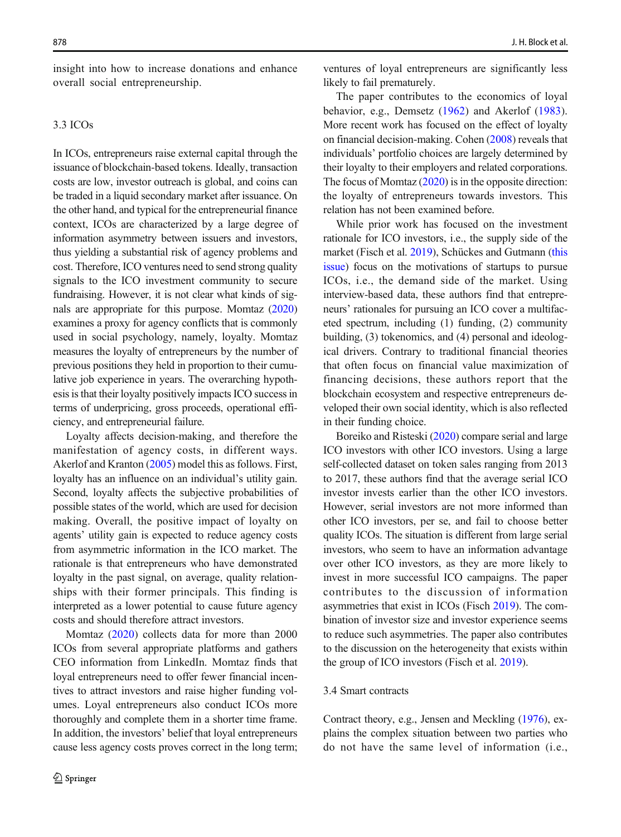insight into how to increase donations and enhance overall social entrepreneurship.

#### 3.3 ICOs

In ICOs, entrepreneurs raise external capital through the issuance of blockchain-based tokens. Ideally, transaction costs are low, investor outreach is global, and coins can be traded in a liquid secondary market after issuance. On the other hand, and typical for the entrepreneurial finance context, ICOs are characterized by a large degree of information asymmetry between issuers and investors, thus yielding a substantial risk of agency problems and cost. Therefore, ICO ventures need to send strong quality signals to the ICO investment community to secure fundraising. However, it is not clear what kinds of signals are appropriate for this purpose. Momtaz ([2020\)](#page-17-0) examines a proxy for agency conflicts that is commonly used in social psychology, namely, loyalty. Momtaz measures the loyalty of entrepreneurs by the number of previous positions they held in proportion to their cumulative job experience in years. The overarching hypothesis is that their loyalty positively impacts ICO success in terms of underpricing, gross proceeds, operational efficiency, and entrepreneurial failure.

Loyalty affects decision-making, and therefore the manifestation of agency costs, in different ways. Akerlof and Kranton ([2005](#page-16-0)) model this as follows. First, loyalty has an influence on an individual's utility gain. Second, loyalty affects the subjective probabilities of possible states of the world, which are used for decision making. Overall, the positive impact of loyalty on agents' utility gain is expected to reduce agency costs from asymmetric information in the ICO market. The rationale is that entrepreneurs who have demonstrated loyalty in the past signal, on average, quality relationships with their former principals. This finding is interpreted as a lower potential to cause future agency costs and should therefore attract investors.

Momtaz ([2020](#page-17-0)) collects data for more than 2000 ICOs from several appropriate platforms and gathers CEO information from LinkedIn. Momtaz finds that loyal entrepreneurs need to offer fewer financial incentives to attract investors and raise higher funding volumes. Loyal entrepreneurs also conduct ICOs more thoroughly and complete them in a shorter time frame. In addition, the investors' belief that loyal entrepreneurs cause less agency costs proves correct in the long term; ventures of loyal entrepreneurs are significantly less likely to fail prematurely.

The paper contributes to the economics of loyal behavior, e.g., Demsetz ([1962\)](#page-16-0) and Akerlof ([1983\)](#page-16-0). More recent work has focused on the effect of loyalty on financial decision-making. Cohen ([2008](#page-16-0)) reveals that individuals' portfolio choices are largely determined by their loyalty to their employers and related corporations. The focus of Momtaz [\(2020\)](#page-17-0) is in the opposite direction: the loyalty of entrepreneurs towards investors. This relation has not been examined before.

While prior work has focused on the investment rationale for ICO investors, i.e., the supply side of the market (Fisch et al. [2019](#page-16-0)), Schückes and Gutmann [\(this](#page-17-0) [issue](#page-17-0)) focus on the motivations of startups to pursue ICOs, i.e., the demand side of the market. Using interview-based data, these authors find that entrepreneurs' rationales for pursuing an ICO cover a multifaceted spectrum, including (1) funding, (2) community building, (3) tokenomics, and (4) personal and ideological drivers. Contrary to traditional financial theories that often focus on financial value maximization of financing decisions, these authors report that the blockchain ecosystem and respective entrepreneurs developed their own social identity, which is also reflected in their funding choice.

Boreiko and Risteski [\(2020\)](#page-16-0) compare serial and large ICO investors with other ICO investors. Using a large self-collected dataset on token sales ranging from 2013 to 2017, these authors find that the average serial ICO investor invests earlier than the other ICO investors. However, serial investors are not more informed than other ICO investors, per se, and fail to choose better quality ICOs. The situation is different from large serial investors, who seem to have an information advantage over other ICO investors, as they are more likely to invest in more successful ICO campaigns. The paper contributes to the discussion of information asymmetries that exist in ICOs (Fisch [2019](#page-16-0)). The combination of investor size and investor experience seems to reduce such asymmetries. The paper also contributes to the discussion on the heterogeneity that exists within the group of ICO investors (Fisch et al. [2019](#page-16-0)).

#### 3.4 Smart contracts

Contract theory, e.g., Jensen and Meckling ([1976](#page-17-0)), explains the complex situation between two parties who do not have the same level of information (i.e.,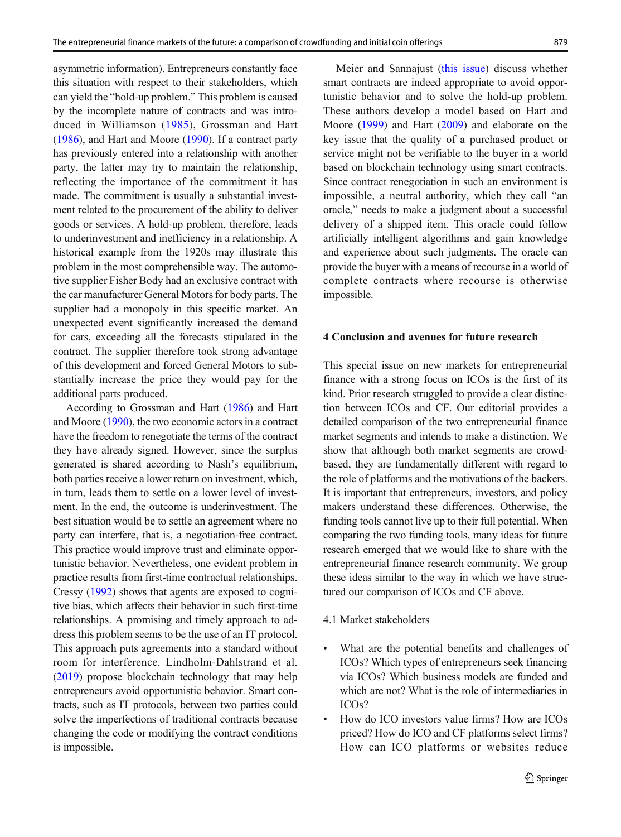asymmetric information). Entrepreneurs constantly face this situation with respect to their stakeholders, which can yield the "hold-up problem." This problem is caused by the incomplete nature of contracts and was introduced in Williamson ([1985\)](#page-17-0), Grossman and Hart ([1986](#page-16-0)), and Hart and Moore [\(1990\)](#page-16-0). If a contract party has previously entered into a relationship with another party, the latter may try to maintain the relationship, reflecting the importance of the commitment it has made. The commitment is usually a substantial investment related to the procurement of the ability to deliver goods or services. A hold-up problem, therefore, leads to underinvestment and inefficiency in a relationship. A historical example from the 1920s may illustrate this problem in the most comprehensible way. The automotive supplier Fisher Body had an exclusive contract with the car manufacturer General Motors for body parts. The supplier had a monopoly in this specific market. An unexpected event significantly increased the demand for cars, exceeding all the forecasts stipulated in the contract. The supplier therefore took strong advantage of this development and forced General Motors to substantially increase the price they would pay for the additional parts produced.

According to Grossman and Hart [\(1986\)](#page-16-0) and Hart and Moore ([1990](#page-16-0)), the two economic actors in a contract have the freedom to renegotiate the terms of the contract they have already signed. However, since the surplus generated is shared according to Nash's equilibrium, both parties receive a lower return on investment, which, in turn, leads them to settle on a lower level of investment. In the end, the outcome is underinvestment. The best situation would be to settle an agreement where no party can interfere, that is, a negotiation-free contract. This practice would improve trust and eliminate opportunistic behavior. Nevertheless, one evident problem in practice results from first-time contractual relationships. Cressy [\(1992\)](#page-16-0) shows that agents are exposed to cognitive bias, which affects their behavior in such first-time relationships. A promising and timely approach to address this problem seems to be the use of an IT protocol. This approach puts agreements into a standard without room for interference. Lindholm-Dahlstrand et al. ([2019\)](#page-17-0) propose blockchain technology that may help entrepreneurs avoid opportunistic behavior. Smart contracts, such as IT protocols, between two parties could solve the imperfections of traditional contracts because changing the code or modifying the contract conditions is impossible.

Meier and Sannajust [\(this issue\)](#page-17-0) discuss whether smart contracts are indeed appropriate to avoid opportunistic behavior and to solve the hold-up problem. These authors develop a model based on Hart and Moore [\(1999](#page-17-0)) and Hart ([2009\)](#page-16-0) and elaborate on the key issue that the quality of a purchased product or service might not be verifiable to the buyer in a world based on blockchain technology using smart contracts. Since contract renegotiation in such an environment is impossible, a neutral authority, which they call "an oracle," needs to make a judgment about a successful delivery of a shipped item. This oracle could follow artificially intelligent algorithms and gain knowledge and experience about such judgments. The oracle can provide the buyer with a means of recourse in a world of complete contracts where recourse is otherwise impossible.

### 4 Conclusion and avenues for future research

This special issue on new markets for entrepreneurial finance with a strong focus on ICOs is the first of its kind. Prior research struggled to provide a clear distinction between ICOs and CF. Our editorial provides a detailed comparison of the two entrepreneurial finance market segments and intends to make a distinction. We show that although both market segments are crowdbased, they are fundamentally different with regard to the role of platforms and the motivations of the backers. It is important that entrepreneurs, investors, and policy makers understand these differences. Otherwise, the funding tools cannot live up to their full potential. When comparing the two funding tools, many ideas for future research emerged that we would like to share with the entrepreneurial finance research community. We group these ideas similar to the way in which we have structured our comparison of ICOs and CF above.

## 4.1 Market stakeholders

- & What are the potential benefits and challenges of ICOs? Which types of entrepreneurs seek financing via ICOs? Which business models are funded and which are not? What is the role of intermediaries in ICOs?
- & How do ICO investors value firms? How are ICOs priced? How do ICO and CF platforms select firms? How can ICO platforms or websites reduce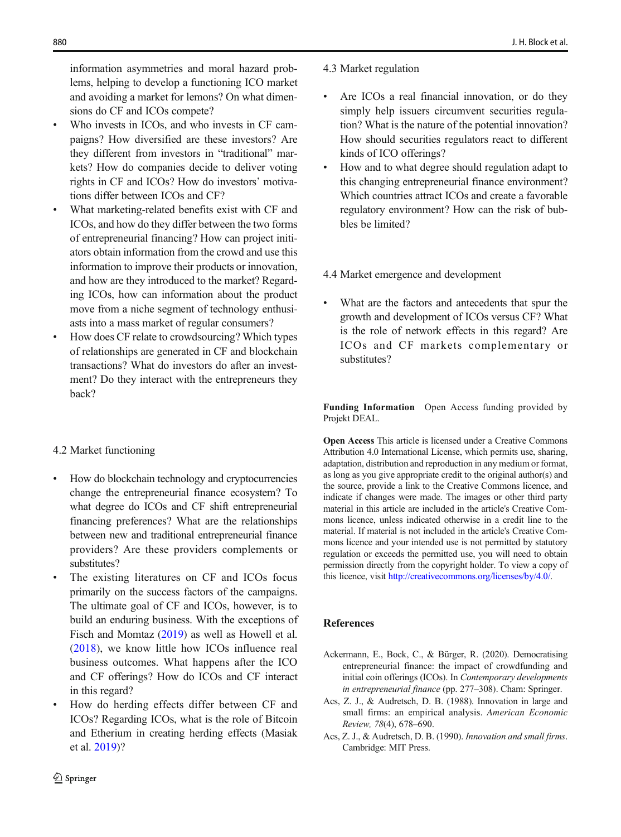<span id="page-15-0"></span>information asymmetries and moral hazard problems, helping to develop a functioning ICO market and avoiding a market for lemons? On what dimensions do CF and ICOs compete?

- Who invests in ICOs, and who invests in CF campaigns? How diversified are these investors? Are they different from investors in "traditional" markets? How do companies decide to deliver voting rights in CF and ICOs? How do investors' motivations differ between ICOs and CF?
- What marketing-related benefits exist with CF and ICOs, and how do they differ between the two forms of entrepreneurial financing? How can project initiators obtain information from the crowd and use this information to improve their products or innovation, and how are they introduced to the market? Regarding ICOs, how can information about the product move from a niche segment of technology enthusiasts into a mass market of regular consumers?
- How does CF relate to crowdsourcing? Which types of relationships are generated in CF and blockchain transactions? What do investors do after an investment? Do they interact with the entrepreneurs they back?

# 4.2 Market functioning

- & How do blockchain technology and cryptocurrencies change the entrepreneurial finance ecosystem? To what degree do ICOs and CF shift entrepreneurial financing preferences? What are the relationships between new and traditional entrepreneurial finance providers? Are these providers complements or substitutes?
- The existing literatures on CF and ICOs focus primarily on the success factors of the campaigns. The ultimate goal of CF and ICOs, however, is to build an enduring business. With the exceptions of Fisch and Momtaz [\(2019\)](#page-16-0) as well as Howell et al. ([2018\)](#page-17-0), we know little how ICOs influence real business outcomes. What happens after the ICO and CF offerings? How do ICOs and CF interact in this regard?
- & How do herding effects differ between CF and ICOs? Regarding ICOs, what is the role of Bitcoin and Etherium in creating herding effects (Masiak et al. [2019\)](#page-17-0)?

# 4.3 Market regulation

- Are ICOs a real financial innovation, or do they simply help issuers circumvent securities regulation? What is the nature of the potential innovation? How should securities regulators react to different kinds of ICO offerings?
- How and to what degree should regulation adapt to this changing entrepreneurial finance environment? Which countries attract ICOs and create a favorable regulatory environment? How can the risk of bubbles be limited?

4.4 Market emergence and development

What are the factors and antecedents that spur the growth and development of ICOs versus CF? What is the role of network effects in this regard? Are ICOs and CF markets complementary or substitutes?

Funding Information Open Access funding provided by Projekt DEAL.

Open Access This article is licensed under a Creative Commons Attribution 4.0 International License, which permits use, sharing, adaptation, distribution and reproduction in any medium or format, as long as you give appropriate credit to the original author(s) and the source, provide a link to the Creative Commons licence, and indicate if changes were made. The images or other third party material in this article are included in the article's Creative Commons licence, unless indicated otherwise in a credit line to the material. If material is not included in the article's Creative Commons licence and your intended use is not permitted by statutory regulation or exceeds the permitted use, you will need to obtain permission directly from the copyright holder. To view a copy of this licence, visit <http://creativecommons.org/licenses/by/4.0/>.

# References

- Ackermann, E., Bock, C., & Bürger, R. (2020). Democratising entrepreneurial finance: the impact of crowdfunding and initial coin offerings (ICOs). In Contemporary developments in entrepreneurial finance (pp. 277–308). Cham: Springer.
- Acs, Z. J., & Audretsch, D. B. (1988). Innovation in large and small firms: an empirical analysis. American Economic Review, 78(4), 678–690.
- Acs, Z. J., & Audretsch, D. B. (1990). Innovation and small firms. Cambridge: MIT Press.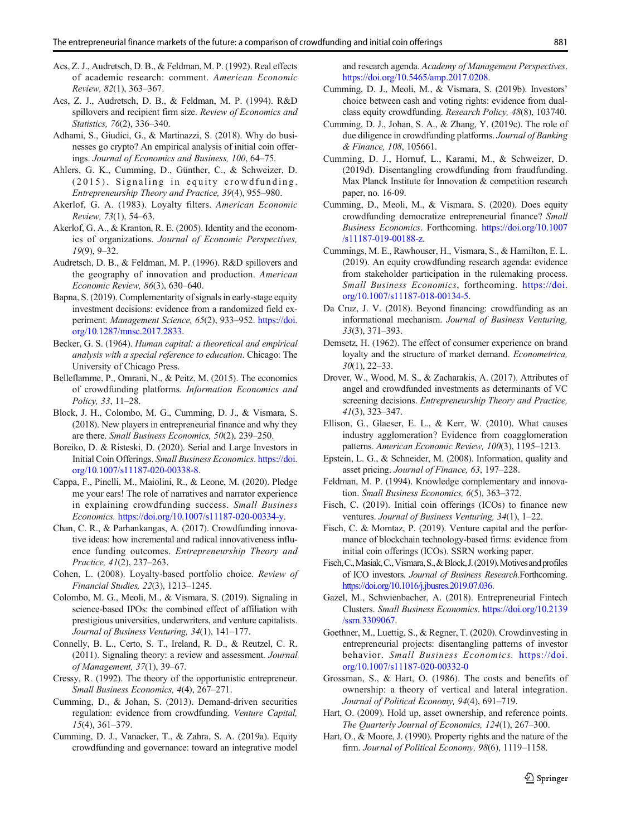- <span id="page-16-0"></span>Acs, Z. J., Audretsch, D. B., & Feldman, M. P. (1992). Real effects of academic research: comment. American Economic Review, 82(1), 363–367.
- Acs, Z. J., Audretsch, D. B., & Feldman, M. P. (1994). R&D spillovers and recipient firm size. Review of Economics and Statistics, 76(2), 336–340.
- Adhami, S., Giudici, G., & Martinazzi, S. (2018). Why do businesses go crypto? An empirical analysis of initial coin offerings. Journal of Economics and Business, 100, 64–75.
- Ahlers, G. K., Cumming, D., Günther, C., & Schweizer, D. (2015). Signaling in equity crowdfunding. Entrepreneurship Theory and Practice, 39(4), 955–980.
- Akerlof, G. A. (1983). Loyalty filters. American Economic Review, 73(1), 54–63.
- Akerlof, G. A., & Kranton, R. E. (2005). Identity and the economics of organizations. Journal of Economic Perspectives, 19(9), 9–32.
- Audretsch, D. B., & Feldman, M. P. (1996). R&D spillovers and the geography of innovation and production. American Economic Review, 86(3), 630–640.
- Bapna, S. (2019). Complementarity of signals in early-stage equity investment decisions: evidence from a randomized field experiment. Management Science, 65(2), 933-952. [https://doi.](https://doi.org/10.1287/mnsc.2017.2833) [org/10.1287/mnsc.2017.2833](https://doi.org/10.1287/mnsc.2017.2833).
- Becker, G. S. (1964). Human capital: a theoretical and empirical analysis with a special reference to education. Chicago: The University of Chicago Press.
- Belleflamme, P., Omrani, N., & Peitz, M. (2015). The economics of crowdfunding platforms. Information Economics and Policy, 33, 11–28.
- Block, J. H., Colombo, M. G., Cumming, D. J., & Vismara, S. (2018). New players in entrepreneurial finance and why they are there. Small Business Economics, 50(2), 239–250.
- Boreiko, D. & Risteski, D. (2020). Serial and Large Investors in Initial Coin Offerings. Small Business Economics. [https://doi.](https://doi.org/10.1007/s11187-020-00338-8) [org/10.1007/s11187-020-00338-8.](https://doi.org/10.1007/s11187-020-00338-8)
- Cappa, F., Pinelli, M., Maiolini, R., & Leone, M. (2020). Pledge me your ears! The role of narratives and narrator experience in explaining crowdfunding success. Small Business Economics. [https://doi.org/10.1007/s11187-020-00334-y.](https://doi.org/10.1007/s11187-020-00334-y)
- Chan, C. R., & Parhankangas, A. (2017). Crowdfunding innovative ideas: how incremental and radical innovativeness influence funding outcomes. Entrepreneurship Theory and Practice, 41(2), 237–263.
- Cohen, L. (2008). Loyalty-based portfolio choice. Review of Financial Studies, 22(3), 1213–1245.
- Colombo, M. G., Meoli, M., & Vismara, S. (2019). Signaling in science-based IPOs: the combined effect of affiliation with prestigious universities, underwriters, and venture capitalists. Journal of Business Venturing, 34(1), 141–177.
- Connelly, B. L., Certo, S. T., Ireland, R. D., & Reutzel, C. R. (2011). Signaling theory: a review and assessment. Journal of Management, 37(1), 39–67.
- Cressy, R. (1992). The theory of the opportunistic entrepreneur. Small Business Economics, 4(4), 267–271.
- Cumming, D., & Johan, S. (2013). Demand-driven securities regulation: evidence from crowdfunding. Venture Capital, 15(4), 361–379.
- Cumming, D. J., Vanacker, T., & Zahra, S. A. (2019a). Equity crowdfunding and governance: toward an integrative model

and research agenda. Academy of Management Perspectives. <https://doi.org/10.5465/amp.2017.0208>.

- Cumming, D. J., Meoli, M., & Vismara, S. (2019b). Investors' choice between cash and voting rights: evidence from dualclass equity crowdfunding. Research Policy, 48(8), 103740.
- Cumming, D. J., Johan, S. A., & Zhang, Y. (2019c). The role of due diligence in crowdfunding platforms. Journal of Banking & Finance, 108, 105661.
- Cumming, D. J., Hornuf, L., Karami, M., & Schweizer, D. (2019d). Disentangling crowdfunding from fraudfunding. Max Planck Institute for Innovation & competition research paper, no. 16-09.
- Cumming, D., Meoli, M., & Vismara, S. (2020). Does equity crowdfunding democratize entrepreneurial finance? Small Business Economics. Forthcoming. [https://doi.org/10.1007](https://doi.org/10.1007/s11187-019-00188-z) [/s11187-019-00188-z](https://doi.org/10.1007/s11187-019-00188-z).
- Cummings, M. E., Rawhouser, H., Vismara, S., & Hamilton, E. L. (2019). An equity crowdfunding research agenda: evidence from stakeholder participation in the rulemaking process. Small Business Economics, forthcoming. [https://doi.](https://doi.org/10.1007/s11187-018-00134-5) [org/10.1007/s11187-018-00134-5.](https://doi.org/10.1007/s11187-018-00134-5)
- Da Cruz, J. V. (2018). Beyond financing: crowdfunding as an informational mechanism. Journal of Business Venturing, 33(3), 371–393.
- Demsetz, H. (1962). The effect of consumer experience on brand loyalty and the structure of market demand. Econometrica, 30(1), 22–33.
- Drover, W., Wood, M. S., & Zacharakis, A. (2017). Attributes of angel and crowdfunded investments as determinants of VC screening decisions. *Entrepreneurship Theory and Practice*, 41(3), 323–347.
- Ellison, G., Glaeser, E. L., & Kerr, W. (2010). What causes industry agglomeration? Evidence from coagglomeration patterns. American Economic Review, 100(3), 1195–1213.
- Epstein, L. G., & Schneider, M. (2008). Information, quality and asset pricing. Journal of Finance, 63, 197–228.
- Feldman, M. P. (1994). Knowledge complementary and innovation. Small Business Economics, 6(5), 363–372.
- Fisch, C. (2019). Initial coin offerings (ICOs) to finance new ventures. Journal of Business Venturing, 34(1), 1–22.
- Fisch, C. & Momtaz, P. (2019). Venture capital and the performance of blockchain technology-based firms: evidence from initial coin offerings (ICOs). SSRN working paper.
- Fisch,C.,Masiak,C.,Vismara,S.,&Block,J.(2019).Motivesandprofiles of ICO investors. Journal of Business Research.Forthcoming. [https://doi.org/10.1016/j.jbusres.2019.07.036.](https://doi.org/10.1016/j.jbusres.2019.07.036)
- Gazel, M., Schwienbacher, A. (2018). Entrepreneurial Fintech Clusters. Small Business Economics. [https://doi.org/10.2139](https://doi.org/10.2139/ssrn.3309067) [/ssrn.3309067](https://doi.org/10.2139/ssrn.3309067).
- Goethner, M., Luettig, S., & Regner, T. (2020). Crowdinvesting in entrepreneurial projects: disentangling patterns of investor behavior. Small Business Economics. [https://doi.](https://doi.org/10.1007/s11187-020-00332-0) [org/10.1007/s11187-020-00332-0](https://doi.org/10.1007/s11187-020-00332-0)
- Grossman, S., & Hart, O. (1986). The costs and benefits of ownership: a theory of vertical and lateral integration. Journal of Political Economy, 94(4), 691–719.
- Hart, O. (2009). Hold up, asset ownership, and reference points. The Quarterly Journal of Economics, 124(1), 267–300.
- Hart, O., & Moore, J. (1990). Property rights and the nature of the firm. Journal of Political Economy, 98(6), 1119-1158.